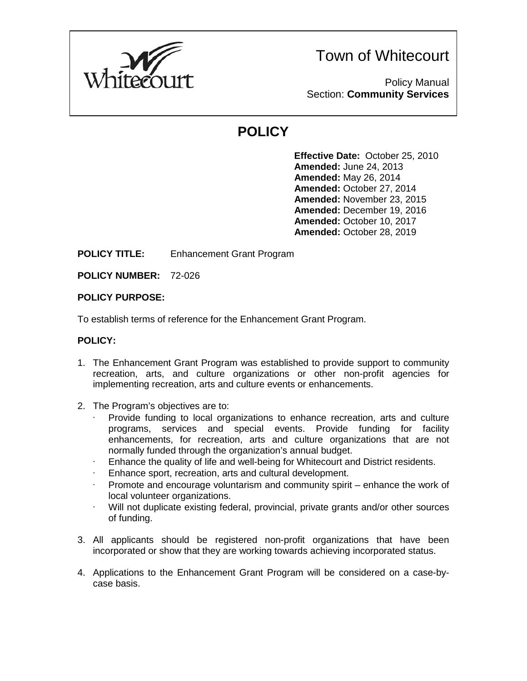

Town of Whitecourt

Policy Manual Section: **Community Services**

# **POLICY**

**Effective Date:** October 25, 2010 **Amended:** June 24, 2013 **Amended:** May 26, 2014 **Amended:** October 27, 2014 **Amended:** November 23, 2015 **Amended:** December 19, 2016 **Amended:** October 10, 2017 **Amended:** October 28, 2019

### **POLICY TITLE:** Enhancement Grant Program

**POLICY NUMBER:** 72-026

#### **POLICY PURPOSE:**

To establish terms of reference for the Enhancement Grant Program.

#### **POLICY:**

- 1. The Enhancement Grant Program was established to provide support to community recreation, arts, and culture organizations or other non-profit agencies for implementing recreation, arts and culture events or enhancements.
- 2. The Program's objectives are to:
	- · Provide funding to local organizations to enhance recreation, arts and culture programs, services and special events. Provide funding for facility enhancements, for recreation, arts and culture organizations that are not normally funded through the organization's annual budget.
	- Enhance the quality of life and well-being for Whitecourt and District residents.
	- Enhance sport, recreation, arts and cultural development.
	- · Promote and encourage voluntarism and community spirit enhance the work of local volunteer organizations.
	- Will not duplicate existing federal, provincial, private grants and/or other sources of funding.
- 3. All applicants should be registered non-profit organizations that have been incorporated or show that they are working towards achieving incorporated status.
- 4. Applications to the Enhancement Grant Program will be considered on a case-bycase basis.